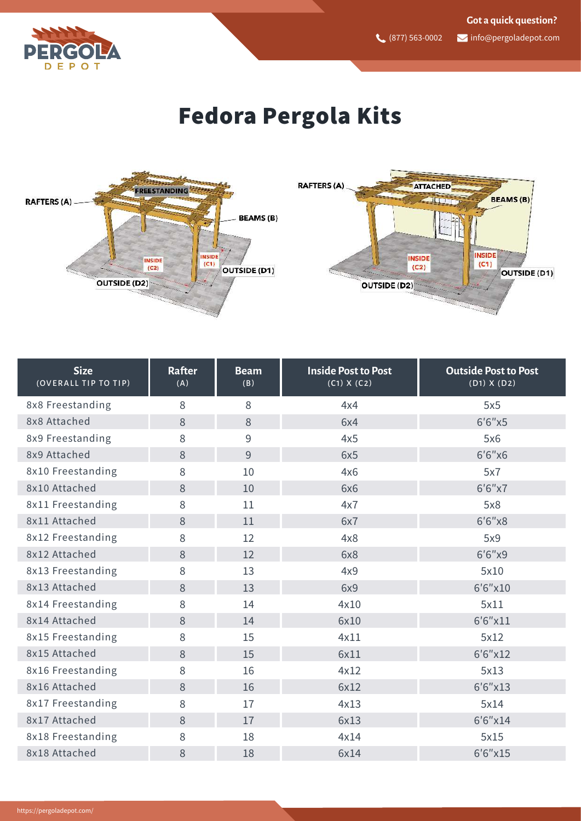

## Fedora Pergola Kits



| <b>Size</b><br>(OVERALL TIP TO TIP) | <b>Rafter</b><br>(A) | <b>Beam</b><br>(B) | <b>Inside Post to Post</b><br>(C1) X (C2) | <b>Outside Post to Post</b><br>$(D1)$ X $(D2)$ |
|-------------------------------------|----------------------|--------------------|-------------------------------------------|------------------------------------------------|
| 8x8 Freestanding                    | 8                    | 8                  | 4x4                                       | 5x5                                            |
| 8x8 Attached                        | 8                    | 8                  | 6x4                                       | 6'6''x5                                        |
| 8x9 Freestanding                    | 8                    | 9                  | 4x5                                       | 5x6                                            |
| 8x9 Attached                        | 8                    | 9                  | 6x5                                       | 6'6''x6                                        |
| 8x10 Freestanding                   | 8                    | 10                 | 4x6                                       | 5x7                                            |
| 8x10 Attached                       | 8                    | 10                 | 6x6                                       | 6'6''x7                                        |
| 8x11 Freestanding                   | 8                    | 11                 | 4x7                                       | 5x8                                            |
| 8x11 Attached                       | 8                    | 11                 | 6x7                                       | 6'6''x8                                        |
| 8x12 Freestanding                   | 8                    | 12                 | 4x8                                       | 5x9                                            |
| 8x12 Attached                       | 8                    | 12                 | 6x8                                       | 6'6''x9                                        |
| 8x13 Freestanding                   | 8                    | 13                 | 4x9                                       | 5x10                                           |
| 8x13 Attached                       | 8                    | 13                 | 6x9                                       | 6'6''x10                                       |
| 8x14 Freestanding                   | 8                    | 14                 | 4x10                                      | 5x11                                           |
| 8x14 Attached                       | 8                    | 14                 | 6x10                                      | 6'6''x11                                       |
| 8x15 Freestanding                   | 8                    | 15                 | 4x11                                      | 5x12                                           |
| 8x15 Attached                       | 8                    | 15                 | 6x11                                      | 6'6''x12                                       |
| 8x16 Freestanding                   | 8                    | 16                 | 4x12                                      | 5x13                                           |
| 8x16 Attached                       | 8                    | 16                 | 6x12                                      | 6'6''x13                                       |
| 8x17 Freestanding                   | 8                    | 17                 | 4x13                                      | 5x14                                           |
| 8x17 Attached                       | 8                    | 17                 | 6x13                                      | 6'6''x14                                       |
| 8x18 Freestanding                   | 8                    | 18                 | 4x14                                      | 5x15                                           |
| 8x18 Attached                       | 8                    | 18                 | 6x14                                      | 6'6''x15                                       |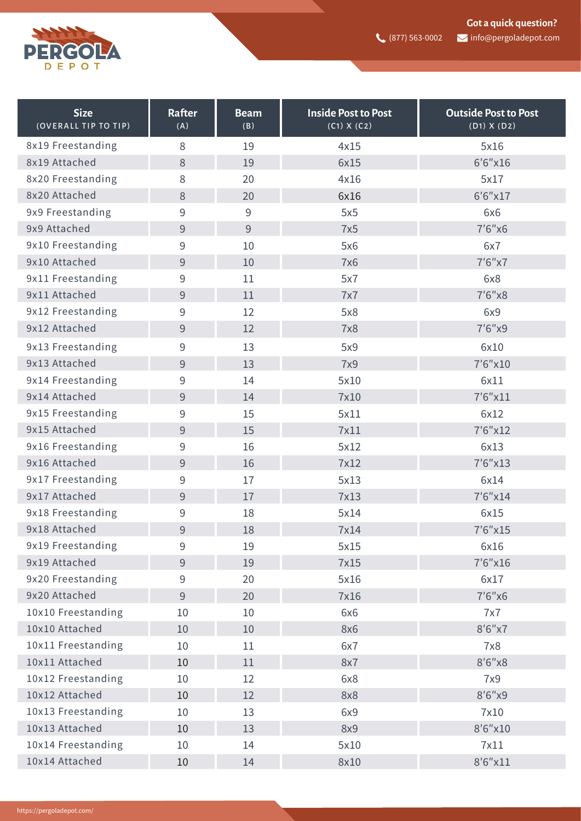

| <b>Size</b><br>(OVERALL TIP TO TIP) | <b>Rafter</b><br>(A) | <b>Beam</b><br>(B) | <b>Inside Post to Post</b><br>(C1) X (C2) | <b>Outside Post to Post</b><br>(D1) X (D2) |
|-------------------------------------|----------------------|--------------------|-------------------------------------------|--------------------------------------------|
| 8x19 Freestanding                   | 8                    | 19                 | 4x15                                      | 5x16                                       |
| 8x19 Attached                       | 8                    | 19                 | 6x15                                      | 6'6''x16                                   |
| 8x20 Freestanding                   | 8                    | 20                 | 4x16                                      | 5x17                                       |
| 8x20 Attached                       | $8\,$                | 20                 | 6x16                                      | 6'6''x17                                   |
| 9x9 Freestanding                    | 9                    | $\overline{9}$     | 5x5                                       | 6x6                                        |
| 9x9 Attached                        | 9                    | 9                  | 7x5                                       | 7'6''x6                                    |
| 9x10 Freestanding                   | 9                    | 10                 | 5x6                                       | 6x7                                        |
| 9x10 Attached                       | 9                    | 10                 | <b>7x6</b>                                | 7'6''x7                                    |
| 9x11 Freestanding                   | 9                    | 11                 | 5x7                                       | 6x8                                        |
| 9x11 Attached                       | $\overline{9}$       | 11                 | 7x7                                       | 7'6''x8                                    |
| 9x12 Freestanding                   | 9                    | 12                 | 5x8                                       | 6x9                                        |
| 9x12 Attached                       | $\overline{9}$       | 12                 | <b>7x8</b>                                | 7'6''x9                                    |
| 9x13 Freestanding                   | 9                    | 13                 | 5x9                                       | 6x10                                       |
| 9x13 Attached                       | 9                    | 13                 | <b>7x9</b>                                | 7'6''x10                                   |
| 9x14 Freestanding                   | 9                    | 14                 | 5x10                                      | 6x11                                       |
| 9x14 Attached                       | 9                    | 14                 | 7x10                                      | $7'6''$ $x11$                              |
| 9x15 Freestanding                   | 9                    | 15                 | 5x11                                      | 6x12                                       |
| 9x15 Attached                       | 9                    | 15                 | 7x11                                      | 7'6''x12                                   |
| 9x16 Freestanding                   | 9                    | 16                 | 5x12                                      | 6x13                                       |
| 9x16 Attached                       | 9                    | 16                 | 7x12                                      | 7'6''x13                                   |
| 9x17 Freestanding                   | 9                    | 17                 | 5x13                                      | 6x14                                       |
| 9x17 Attached                       | 9                    | 17                 | 7x13                                      | 7'6''x14                                   |
| 9x18 Freestanding                   | $\mathsf 9$          | 18                 | 5x14                                      | 6x15                                       |
| 9x18 Attached                       | 9                    | 18                 | 7x14                                      | 7'6''x15                                   |
| 9x19 Freestanding                   | 9                    | 19                 | 5x15                                      | 6x16                                       |
| 9x19 Attached                       | $9\,$                | 19                 | 7x15                                      | 7'6''x16                                   |
| 9x20 Freestanding                   | 9                    | 20                 | 5x16                                      | 6x17                                       |
| 9x20 Attached                       | $\overline{9}$       | 20                 | 7x16                                      | 7'6''x6                                    |
| 10x10 Freestanding                  | 10                   | 10                 | 6x6                                       | 7x7                                        |
| 10x10 Attached                      | 10                   | 10                 | 8x6                                       | 8'6''x7                                    |
| 10x11 Freestanding                  | 10                   | 11                 | 6x7                                       | 7x8                                        |
| 10x11 Attached                      | 10                   | 11                 | 8x7                                       | 8'6''x8                                    |
| 10x12 Freestanding                  | 10                   | 12                 | 6x8                                       | 7x9                                        |
| 10x12 Attached                      | 10                   | 12                 | 8x8                                       | 8'6''x9                                    |
| 10x13 Freestanding                  | 10                   | 13                 | 6x9                                       | 7x10                                       |
| 10x13 Attached                      | 10                   | 13                 | 8x9                                       | 8'6''x10                                   |
| 10x14 Freestanding                  | 10                   | 14                 | 5x10                                      | 7x11                                       |
| 10x14 Attached                      | 10                   | 14                 | 8x10                                      | 8'6"x11                                    |
|                                     |                      |                    |                                           |                                            |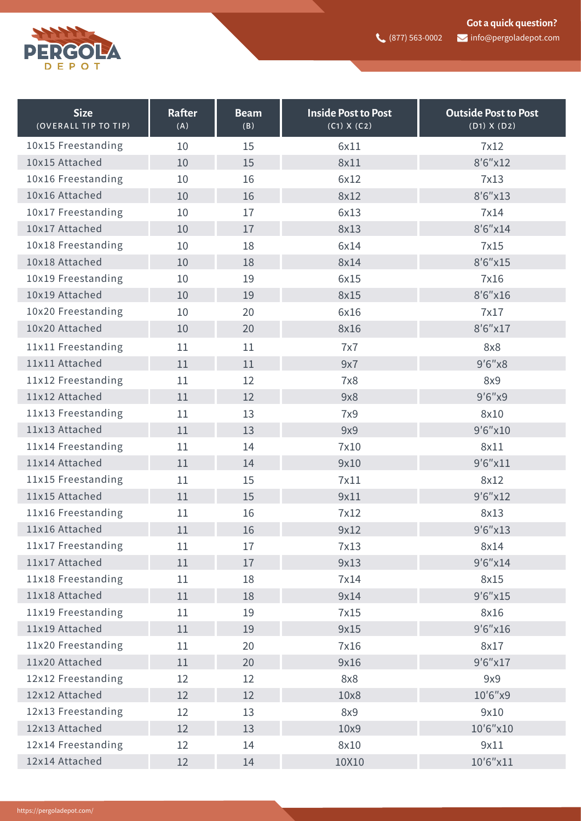

| <b>Size</b><br>(OVERALL TIP TO TIP) | Rafter<br>(A) | <b>Beam</b><br>(B) | <b>Inside Post to Post</b><br>(C1) X (C2) | <b>Outside Post to Post</b><br>(D1) X (D2) |
|-------------------------------------|---------------|--------------------|-------------------------------------------|--------------------------------------------|
| 10x15 Freestanding                  | 10            | 15                 | 6x11                                      | 7x12                                       |
| 10x15 Attached                      | 10            | 15                 | 8x11                                      | 8'6''x12                                   |
| 10x16 Freestanding                  | 10            | 16                 | 6x12                                      | 7x13                                       |
| 10x16 Attached                      | 10            | 16                 | 8x12                                      | 8'6"x13                                    |
| 10x17 Freestanding                  | 10            | 17                 | 6x13                                      | 7x14                                       |
| 10x17 Attached                      | 10            | 17                 | 8x13                                      | 8'6''x14                                   |
| 10x18 Freestanding                  | 10            | 18                 | 6x14                                      | 7x15                                       |
| 10x18 Attached                      | 10            | 18                 | 8x14                                      | 8'6"x15                                    |
| 10x19 Freestanding                  | 10            | 19                 | 6x15                                      | 7x16                                       |
| 10x19 Attached                      | 10            | 19                 | 8x15                                      | 8'6"x16                                    |
| 10x20 Freestanding                  | 10            | 20                 | 6x16                                      | 7x17                                       |
| 10x20 Attached                      | 10            | 20                 | 8x16                                      | 8'6''x17                                   |
| 11x11 Freestanding                  | 11            | 11                 | 7x7                                       | 8x8                                        |
| 11x11 Attached                      | 11            | 11                 | 9x7                                       | 9'6''x8                                    |
| 11x12 Freestanding                  | 11            | 12                 | 7x8                                       | 8x9                                        |
| 11x12 Attached                      | 11            | 12                 | 9x8                                       | 9'6''x9                                    |
| 11x13 Freestanding                  | 11            | 13                 | 7x9                                       | 8x10                                       |
| 11x13 Attached                      | 11            | 13                 | 9x9                                       | 9'6"x10                                    |
| 11x14 Freestanding                  | 11            | 14                 | 7x10                                      | 8x11                                       |
| 11x14 Attached                      | 11            | 14                 | 9x10                                      | 9'6"x11                                    |
| 11x15 Freestanding                  | 11            | 15                 | 7x11                                      | 8x12                                       |
| 11x15 Attached                      | 11            | 15                 | 9x11                                      | 9'6''x12                                   |
| 11x16 Freestanding                  | 11            | 16                 | 7x12                                      | 8x13                                       |
| 11x16 Attached                      | 11            | 16                 | 9x12                                      | 9'6"x13                                    |
| 11x17 Freestanding                  | 11            | 17                 | 7x13                                      | 8x14                                       |
| 11x17 Attached                      | 11            | 17                 | 9x13                                      | 9'6"x14                                    |
| 11x18 Freestanding                  | 11            | 18                 | 7x14                                      | 8x15                                       |
| 11x18 Attached                      | 11            | 18                 | 9x14                                      | 9'6''x15                                   |
| 11x19 Freestanding                  | 11            | 19                 | 7x15                                      | 8x16                                       |
| 11x19 Attached                      | 11            | 19                 | 9x15                                      | 9'6''x16                                   |
| 11x20 Freestanding                  | 11            | 20                 | 7x16                                      | 8x17                                       |
| 11x20 Attached                      | 11            | 20                 | 9x16                                      | 9'6''x17                                   |
| 12x12 Freestanding                  | 12            | 12                 | 8x8                                       | 9x9                                        |
| 12x12 Attached                      | 12            | 12                 | 10x8                                      | 10'6"x9                                    |
| 12x13 Freestanding                  | 12            | 13                 | 8x9                                       | 9x10                                       |
| 12x13 Attached                      | 12            | 13                 | 10x9                                      | 10'6"x10                                   |
| 12x14 Freestanding                  | 12            | 14                 | 8x10                                      | 9x11                                       |
| 12x14 Attached                      | 12            | 14                 | 10X10                                     | 10'6"x11                                   |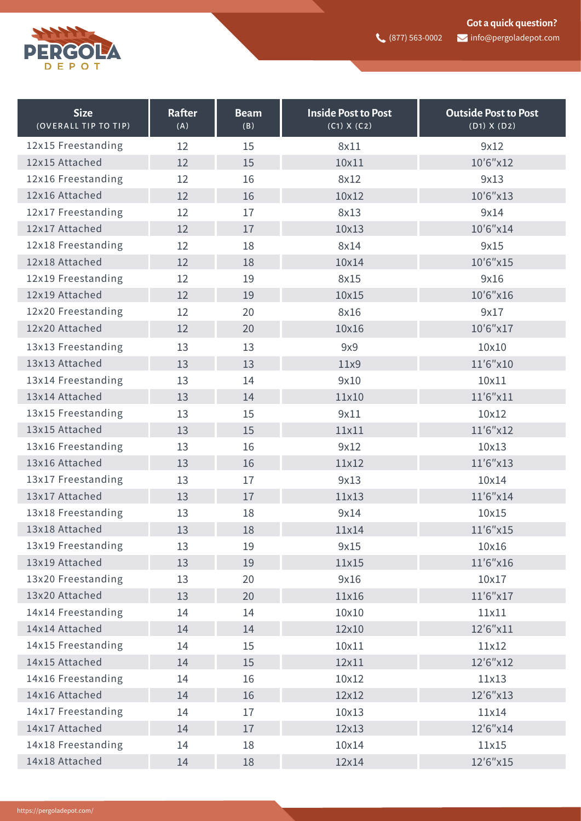

| <b>Size</b><br>(OVERALL TIP TO TIP) | Rafter<br>(A) | <b>Beam</b><br>(B) | <b>Inside Post to Post</b><br>(C1) X (C2) | <b>Outside Post to Post</b><br>(D1) X (D2) |
|-------------------------------------|---------------|--------------------|-------------------------------------------|--------------------------------------------|
| 12x15 Freestanding                  | 12            | 15                 | 8x11                                      | 9x12                                       |
| 12x15 Attached                      | 12            | 15                 | 10x11                                     | 10'6"x12                                   |
| 12x16 Freestanding                  | 12            | 16                 | 8x12                                      | 9x13                                       |
| 12x16 Attached                      | 12            | 16                 | 10x12                                     | 10'6"x13                                   |
| 12x17 Freestanding                  | 12            | 17                 | 8x13                                      | 9x14                                       |
| 12x17 Attached                      | 12            | 17                 | 10x13                                     | 10'6"x14                                   |
| 12x18 Freestanding                  | 12            | 18                 | 8x14                                      | 9x15                                       |
| 12x18 Attached                      | 12            | 18                 | 10x14                                     | 10'6"x15                                   |
| 12x19 Freestanding                  | 12            | 19                 | 8x15                                      | 9x16                                       |
| 12x19 Attached                      | 12            | 19                 | 10x15                                     | 10'6"x16                                   |
| 12x20 Freestanding                  | 12            | 20                 | 8x16                                      | 9x17                                       |
| 12x20 Attached                      | 12            | 20                 | 10x16                                     | 10'6"x17                                   |
| 13x13 Freestanding                  | 13            | 13                 | 9x9                                       | 10x10                                      |
| 13x13 Attached                      | 13            | 13                 | 11x9                                      | 11'6"x10                                   |
| 13x14 Freestanding                  | 13            | 14                 | 9x10                                      | 10x11                                      |
| 13x14 Attached                      | 13            | 14                 | 11×10                                     | 11'6"x11                                   |
| 13x15 Freestanding                  | 13            | 15                 | 9x11                                      | 10x12                                      |
| 13x15 Attached                      | 13            | 15                 | 11x11                                     | 11'6"x12                                   |
| 13x16 Freestanding                  | 13            | 16                 | 9x12                                      | 10x13                                      |
| 13x16 Attached                      | 13            | 16                 | 11x12                                     | 11'6"x13                                   |
| 13x17 Freestanding                  | 13            | 17                 | 9x13                                      | 10x14                                      |
| 13x17 Attached                      | 13            | 17                 | 11x13                                     | 11'6"x14                                   |
| 13x18 Freestanding                  | 13            | 18                 | 9x14                                      | 10x15                                      |
| 13x18 Attached                      | 13            | 18                 | 11x14                                     | 11'6"x15                                   |
| 13x19 Freestanding                  | 13            | 19                 | 9x15                                      | 10x16                                      |
| 13x19 Attached                      | 13            | 19                 | 11x15                                     | 11'6"x16                                   |
| 13x20 Freestanding                  | 13            | 20                 | 9x16                                      | 10x17                                      |
| 13x20 Attached                      | 13            | 20                 | 11x16                                     | 11'6"x17                                   |
| 14x14 Freestanding                  | 14            | 14                 | 10×10                                     | 11×11                                      |
| 14x14 Attached                      | 14            | 14                 | 12x10                                     | 12'6"x11                                   |
| 14x15 Freestanding                  | 14            | 15                 | 10x11                                     | 11x12                                      |
| 14x15 Attached                      | 14            | 15                 | 12x11                                     | 12'6"x12                                   |
| 14x16 Freestanding                  | 14            | 16                 | 10x12                                     | 11x13                                      |
| 14x16 Attached                      | 14            | 16                 | 12x12                                     | 12'6"x13                                   |
| 14x17 Freestanding                  | 14            | 17                 | 10x13                                     | 11×14                                      |
| 14x17 Attached                      | 14            | 17                 | 12x13                                     | 12'6"x14                                   |
| 14x18 Freestanding                  | 14            | 18                 | 10x14                                     | 11x15                                      |
| 14x18 Attached                      | 14            | 18                 | 12x14                                     | 12'6"x15                                   |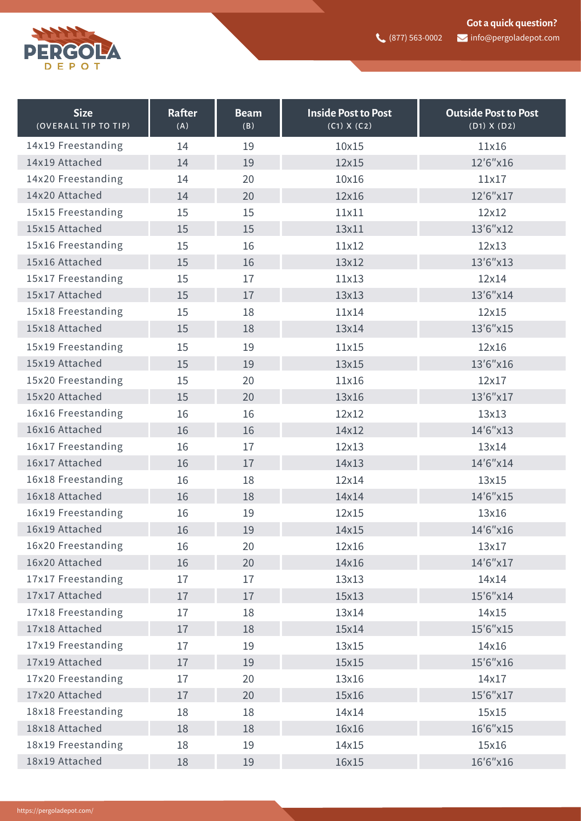

| <b>Size</b><br>(OVERALL TIP TO TIP) | Rafter<br>(A) | <b>Beam</b><br>(B) | <b>Inside Post to Post</b><br>(C1) X (C2) | <b>Outside Post to Post</b><br>$(D1)$ X $(D2)$ |
|-------------------------------------|---------------|--------------------|-------------------------------------------|------------------------------------------------|
| 14x19 Freestanding                  | 14            | 19                 | 10x15                                     | 11x16                                          |
| 14x19 Attached                      | 14            | 19                 | 12x15                                     | 12'6"x16                                       |
| 14x20 Freestanding                  | 14            | 20                 | 10x16                                     | 11x17                                          |
| 14x20 Attached                      | 14            | 20                 | 12x16                                     | 12'6"x17                                       |
| 15x15 Freestanding                  | 15            | 15                 | 11x11                                     | 12x12                                          |
| 15x15 Attached                      | 15            | 15                 | 13x11                                     | 13'6"x12                                       |
| 15x16 Freestanding                  | 15            | 16                 | 11x12                                     | 12x13                                          |
| 15x16 Attached                      | 15            | 16                 | 13x12                                     | 13'6"x13                                       |
| 15x17 Freestanding                  | 15            | 17                 | 11x13                                     | 12x14                                          |
| 15x17 Attached                      | 15            | 17                 | 13x13                                     | 13'6"x14                                       |
| 15x18 Freestanding                  | 15            | 18                 | 11x14                                     | 12x15                                          |
| 15x18 Attached                      | 15            | 18                 | 13x14                                     | 13'6"x15                                       |
| 15x19 Freestanding                  | 15            | 19                 | 11x15                                     | 12x16                                          |
| 15x19 Attached                      | 15            | 19                 | 13x15                                     | 13'6"x16                                       |
| 15x20 Freestanding                  | 15            | 20                 | 11x16                                     | 12x17                                          |
| 15x20 Attached                      | 15            | 20                 | 13x16                                     | 13'6"x17                                       |
| 16x16 Freestanding                  | 16            | 16                 | 12x12                                     | 13x13                                          |
| 16x16 Attached                      | 16            | 16                 | 14x12                                     | 14'6"x13                                       |
| 16x17 Freestanding                  | 16            | 17                 | 12x13                                     | 13x14                                          |
| 16x17 Attached                      | 16            | 17                 | 14x13                                     | 14'6"x14                                       |
| 16x18 Freestanding                  | 16            | 18                 | 12x14                                     | 13x15                                          |
| 16x18 Attached                      | 16            | 18                 | 14x14                                     | 14'6"x15                                       |
| 16x19 Freestanding                  | 16            | 19                 | 12x15                                     | 13x16                                          |
| 16x19 Attached                      | 16            | 19                 | 14x15                                     | 14'6"x16                                       |
| 16x20 Freestanding                  | 16            | 20                 | 12x16                                     | 13x17                                          |
| 16x20 Attached                      | 16            | 20                 | 14x16                                     | 14'6"x17                                       |
| 17x17 Freestanding                  | 17            | 17                 | 13x13                                     | 14x14                                          |
| 17x17 Attached                      | 17            | 17                 | 15x13                                     | 15'6"x14                                       |
| 17x18 Freestanding                  | 17            | 18                 | 13x14                                     | 14x15                                          |
| 17x18 Attached                      | 17            | 18                 | 15x14                                     | 15'6"x15                                       |
| 17x19 Freestanding                  | 17            | 19                 | 13x15                                     | 14x16                                          |
| 17x19 Attached                      | 17            | 19                 | 15x15                                     | 15'6"x16                                       |
| 17x20 Freestanding                  | 17            | 20                 | 13x16                                     | 14x17                                          |
| 17x20 Attached                      | 17            | 20                 | 15x16                                     | 15'6"x17                                       |
| 18x18 Freestanding                  | 18            | 18                 | 14x14                                     | 15x15                                          |
| 18x18 Attached                      | 18            | 18                 | 16x16                                     | 16'6"x15                                       |
| 18x19 Freestanding                  | 18            | 19                 | 14x15                                     | 15x16                                          |
| 18x19 Attached                      | 18            | 19                 | 16x15                                     | 16'6"x16                                       |